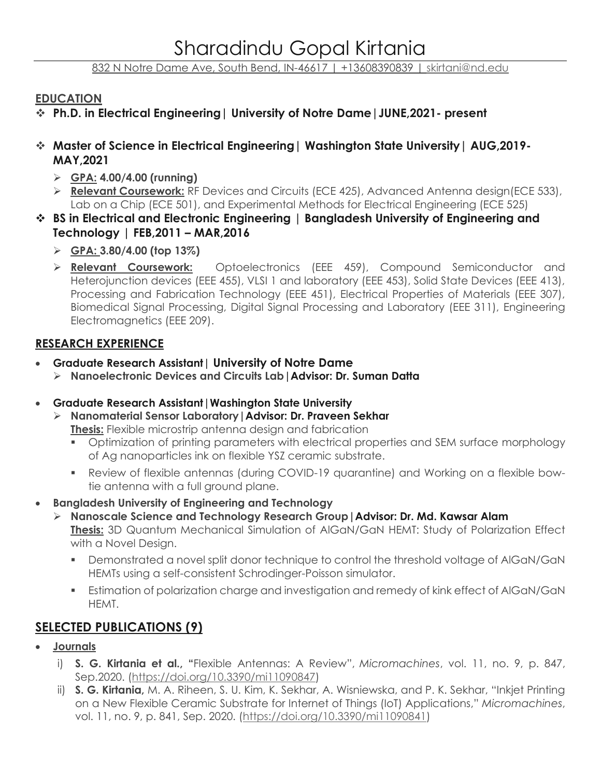832 N Notre Dame Ave, South Bend, IN-46617 | +13608390839 | [skirtani@nd.edu](mailto:skirtani@nd.edu)

### **EDUCATION**

- ❖ **Ph.D. in Electrical Engineering| University of Notre Dame|JUNE,2021- present**
- ❖ **Master of Science in Electrical Engineering| Washington State University| AUG,2019- MAY,2021**
	- ➢ **GPA: 4.00/4.00 (running)**
	- ➢ **Relevant Coursework:** RF Devices and Circuits (ECE 425), Advanced Antenna design(ECE 533), Lab on a Chip (ECE 501), and Experimental Methods for Electrical Engineering (ECE 525)
- ❖ **BS in Electrical and Electronic Engineering | Bangladesh University of Engineering and Technology | FEB,2011 – MAR,2016** 
	- ➢ **GPA: 3.80/4.00 (top 13%)**
	- ➢ **Relevant Coursework:** Optoelectronics (EEE 459), Compound Semiconductor and Heterojunction devices (EEE 455), VLSI 1 and laboratory (EEE 453), Solid State Devices (EEE 413), Processing and Fabrication Technology (EEE 451), Electrical Properties of Materials (EEE 307), Biomedical Signal Processing, Digital Signal Processing and Laboratory (EEE 311), Engineering Electromagnetics (EEE 209).

# **RESEARCH EXPERIENCE**

- **Graduate Research Assistant| University of Notre Dame**
	- ➢ **Nanoelectronic Devices and Circuits Lab|Advisor: Dr. Suman Datta**
- **Graduate Research Assistant|Washington State University**
	- ➢ **Nanomaterial Sensor Laboratory|Advisor: Dr. Praveen Sekhar Thesis:** Flexible microstrip antenna design and fabrication
		- Optimization of printing parameters with electrical properties and SEM surface morphology of Ag nanoparticles ink on flexible YSZ ceramic substrate.
		- Review of flexible antennas (during COVID-19 quarantine) and Working on a flexible bowtie antenna with a full ground plane.
- **Bangladesh University of Engineering and Technology**
	- ➢ **Nanoscale Science and Technology Research Group|Advisor: Dr. Md. Kawsar Alam Thesis:** 3D Quantum Mechanical Simulation of AlGaN/GaN HEMT: Study of Polarization Effect with a Novel Design.
		- **•** Demonstrated a novel split donor technique to control the threshold voltage of AlGaN/GaN HEMTs using a self-consistent Schrodinger-Poisson simulator.
		- **Estimation of polarization charge and investigation and remedy of kink effect of AIGaN/GaN** HEMT.

# **SELECTED PUBLICATIONS (9)**

- **Journals**
	- i) **S. G. Kirtania et al., "**Flexible Antennas: A Review", *Micromachines*, vol. 11, no. 9, p. 847, Sep.2020. [\(https://doi.org/10.3390/mi11090847\)](https://doi.org/10.3390/mi11090847)
	- ii) **S. G. Kirtania,** M. A. Riheen, S. U. Kim, K. Sekhar, A. Wisniewska, and P. K. Sekhar, "Inkjet Printing on a New Flexible Ceramic Substrate for Internet of Things (IoT) Applications," *Micromachines*, vol. 11, no. 9, p. 841, Sep. 2020. [\(https://doi.org/10.3390/mi11090841\)](https://doi.org/10.3390/mi11090841)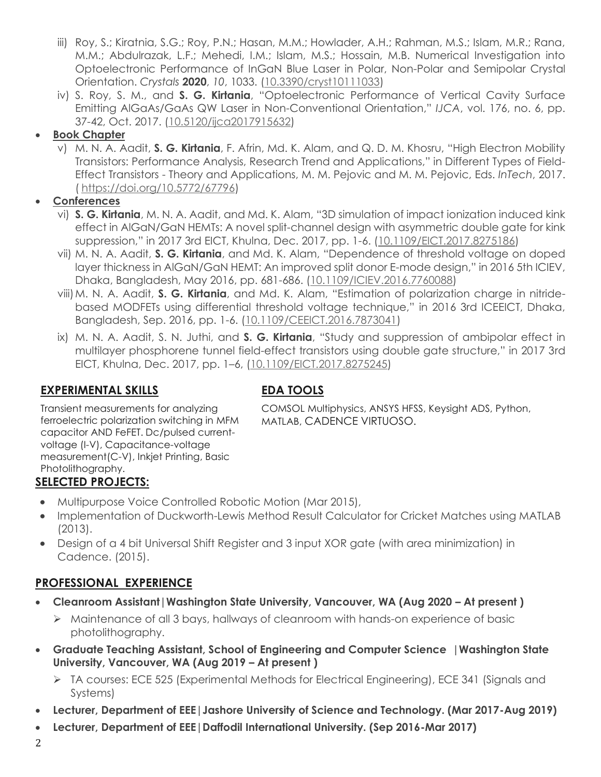- iii) Roy, S.; Kiratnia, S.G.; Roy, P.N.; Hasan, M.M.; Howlader, A.H.; Rahman, M.S.; Islam, M.R.; Rana, M.M.; Abdulrazak, L.F.; Mehedi, I.M.; Islam, M.S.; Hossain, M.B. Numerical Investigation into Optoelectronic Performance of InGaN Blue Laser in Polar, Non-Polar and Semipolar Crystal Orientation. *Crystals* **2020**, *10*, 1033. [\(10.3390/cryst10111033\)](https://www.mdpi.com/2073-4352/10/11/1033)
- iv) S. Roy, S. M., and **S. G. Kirtania**, "Optoelectronic Performance of Vertical Cavity Surface Emitting AlGaAs/GaAs QW Laser in Non-Conventional Orientation," *IJCA*, vol. 176, no. 6, pp. 37-42, Oct. 2017. [\(10.5120/ijca2017915632\)](https://www.researchgate.net/deref/http%3A%2F%2Fdx.doi.org%2F10.5120%2Fijca2017915632?_sg%5B0%5D=P5wQTC5xJ2zP693T1d4qB388C6vm-EbEaVGBZS0y4CzU8Omk_8AiTyv0LV5QAM11eCXLhAQf0ZrTRLpEhcZcsOjJxg.pzqkyiP6elFFWfhDUA0SKFwUZlKkoR1gDsgbGBTelX7k4aTjZD7cI5xiANYVQ0XkqTExD8oW-QL80WJwCGx71g)

## • **Book Chapter**

v) M. N. A. Aadit, **S. G. Kirtania**, F. Afrin, Md. K. Alam, and Q. D. M. Khosru, "High Electron Mobility Transistors: Performance Analysis, Research Trend and Applications," in Different Types of Field-Effect Transistors - Theory and Applications, M. M. Pejovic and M. M. Pejovic, Eds. *InTech*, 2017. ( [https://doi.org/10.5772/67796\)](https://doi.org/10.5772/67796)

# • **Conferences**

- vi) **S. G. Kirtania**, M. N. A. Aadit, and Md. K. Alam, "3D simulation of impact ionization induced kink effect in AlGaN/GaN HEMTs: A novel split-channel design with asymmetric double gate for kink suppression," in 2017 3rd EICT, Khulna, Dec. 2017, pp. 1-6. [\(10.1109/EICT.2017.8275186\)](https://www.researchgate.net/deref/http%3A%2F%2Fdx.doi.org%2F10.1109%2FEICT.2017.8275186?_sg%5B0%5D=oXk7HY3YsGN6Qsftl1dBvV1N72Y1EZjpZeGqJeI839O3fnEMGC6-h_QtKi1F7OprhQQDvnFaj_nLCxXBxRHZTbMQCw.W3OW-JhqAEO2YF6KNCGGr0UQdKQvjA_f58UNDbK72LVNX6FHrUDLNWTYkdM6WGrvId_-BG2LsVvMHgjTvZhGLw)
- vii) M. N. A. Aadit, **S. G. Kirtania**, and Md. K. Alam, "Dependence of threshold voltage on doped layer thickness in AlGaN/GaN HEMT: An improved split donor E-mode design," in 2016 5th ICIEV, Dhaka, Bangladesh, May 2016, pp. 681-686. [\(10.1109/ICIEV.2016.7760088\)](https://www.researchgate.net/deref/http%3A%2F%2Fdx.doi.org%2F10.1109%2FICIEV.2016.7760088?_sg%5B0%5D=UxvjugafRUlwnYZur85zfgo4p4fR5A_57Zo48qPFJmHQZJoSfz3P9fz4yueEb9ZzQUjBUL74zUFMb1Ogrl-XzbNLgg.nckWTvRxFvEKNRheZUmi7MYXqJAgNAYHFPdnvMCdZBGc6cPaDf-WOp9_6T8mFo8v08cc0R4ZKjGcPF4HO0BzFw)
- viii)M. N. A. Aadit, **S. G. Kirtania**, and Md. K. Alam, "Estimation of polarization charge in nitridebased MODFETs using differential threshold voltage technique," in 2016 3rd ICEEICT, Dhaka, Bangladesh, Sep. 2016, pp. 1-6. [\(10.1109/CEEICT.2016.7873041\)](https://www.researchgate.net/deref/http%3A%2F%2Fdx.doi.org%2F10.1109%2FCEEICT.2016.7873041?_sg%5B0%5D=gKRoYcMPWFSQV7XT0G5ZAF5OuVvOVQMTjQxVMTbtPc90z6gQeUqLi_NLAMk6sjKD3zl7nr9HCMXRgmPWjEdDahq-Fw.4qPiNIhn33eZaxU-Lr988GC_8TaaNCWxteIR73g1EFly-2ic2RGCSpuJdaaXQiZwX6QP_H0hfWY_1tNWNtDXEw)
- ix) M. N. A. Aadit, S. N. Juthi, and **S. G. Kirtania**, "Study and suppression of ambipolar effect in multilayer phosphorene tunnel field-effect transistors using double gate structure," in 2017 3rd EICT, Khulna, Dec. 2017, pp. 1–6, [\(10.1109/EICT.2017.8275245\)](https://doi.org/10.1109/EICT.2017.8275245)

# **EXPERIMENTAL SKILLS EDA TOOLS**

COMSOL Multiphysics, ANSYS HFSS, Keysight ADS, Python, MATLAB, CADENCE VIRTUOSO.

Transient measurements for analyzing ferroelectric polarization switching in MFM capacitor AND FeFET. Dc/pulsed currentvoltage (I-V), Capacitance-voltage measurement(C-V), Inkjet Printing, Basic Photolithography.

# **SELECTED PROJECTS:**

- Multipurpose Voice Controlled Robotic Motion (Mar 2015),
- Implementation of Duckworth-Lewis Method Result Calculator for Cricket Matches using MATLAB (2013).
- Design of a 4 bit Universal Shift Register and 3 input XOR gate (with area minimization) in Cadence. (2015).

# **PROFESSIONAL EXPERIENCE**

- **Cleanroom Assistant|Washington State University, Vancouver, WA (Aug 2020 – At present )**
	- ➢ Maintenance of all 3 bays, hallways of cleanroom with hands-on experience of basic photolithography.
- **Graduate Teaching Assistant, School of Engineering and Computer Science |Washington State University, Vancouver, WA (Aug 2019 – At present )**
	- ➢ TA courses: ECE 525 (Experimental Methods for Electrical Engineering), ECE 341 (Signals and Systems)
- **Lecturer, Department of EEE|Jashore University of Science and Technology. (Mar 2017-Aug 2019)**
- **Lecturer, Department of EEE|Daffodil International University. (Sep 2016-Mar 2017)**
- 2